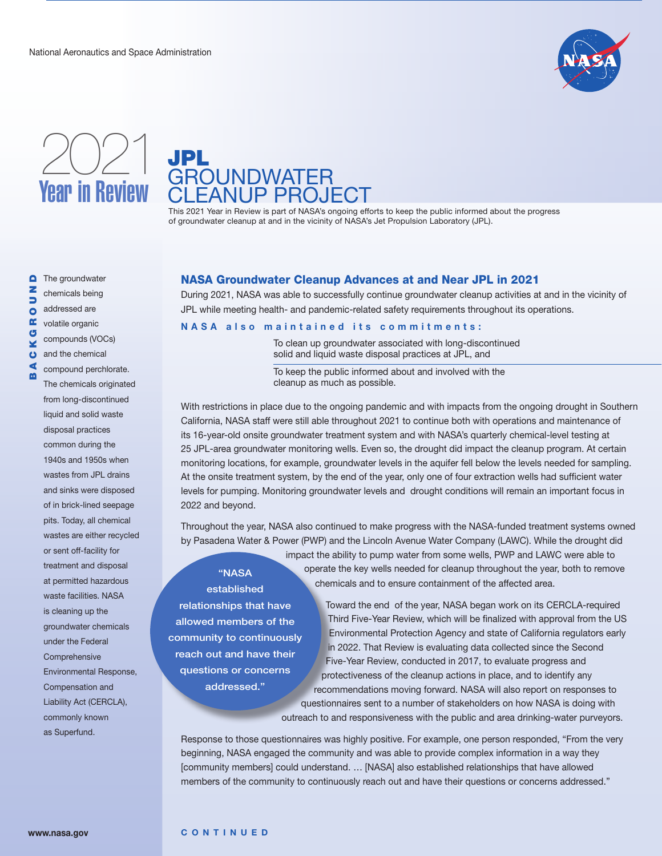





This 2021 Year in Review is part of NASA's ongoing efforts to keep the public informed about the progress of groundwater cleanup at and in the vicinity of NASA's Jet Propulsion Laboratory (JPL).

The groundwater  $\bullet$ BACKGROUNDz

chemicals being addressed are

 $\frac{1}{2}$ 

**R**<br>G ¥  $\ddot{\mathbf{o}}$ ∢

volatile organic compounds (VOCs)

and the chemical

compound perchlorate. The chemicals originated from long-discontinued liquid and solid waste disposal practices common during the 1940s and 1950s when wastes from JPL drains and sinks were disposed of in brick-lined seepage pits. Today, all chemical wastes are either recycled or sent off-facility for treatment and disposal at permitted hazardous waste facilities. NASA is cleaning up the groundwater chemicals under the Federal **Comprehensive** Environmental Response, Compensation and Liability Act (CERCLA), commonly known as Superfund.

## NASA Groundwater Cleanup Advances at and Near JPL in 2021

During 2021, NASA was able to successfully continue groundwater cleanup activities at and in the vicinity of JPL while meeting health- and pandemic-related safety requirements throughout its operations.

#### **NASA also maintained its commitments:**

To clean up groundwater associated with long-discontinued solid and liquid waste disposal practices at JPL, and

To keep the public informed about and involved with the cleanup as much as possible.

With restrictions in place due to the ongoing pandemic and with impacts from the ongoing drought in Southern California, NASA staff were still able throughout 2021 to continue both with operations and maintenance of its 16-year-old onsite groundwater treatment system and with NASA's quarterly chemical-level testing at 25 JPL-area groundwater monitoring wells. Even so, the drought did impact the cleanup program. At certain monitoring locations, for example, groundwater levels in the aquifer fell below the levels needed for sampling. At the onsite treatment system, by the end of the year, only one of four extraction wells had sufficient water levels for pumping. Monitoring groundwater levels and drought conditions will remain an important focus in 2022 and beyond.

Throughout the year, NASA also continued to make progress with the NASA-funded treatment systems owned by Pasadena Water & Power (PWP) and the Lincoln Avenue Water Company (LAWC). While the drought did

# "NASA established

relationships that have allowed members of the community to continuously reach out and have their questions or concerns addressed."

impact the ability to pump water from some wells, PWP and LAWC were able to operate the key wells needed for cleanup throughout the year, both to remove chemicals and to ensure containment of the affected area.

Toward the end of the year, NASA began work on its CERCLA-required Third Five-Year Review, which will be finalized with approval from the US Environmental Protection Agency and state of California regulators early in 2022. That Review is evaluating data collected since the Second Five-Year Review, conducted in 2017, to evaluate progress and protectiveness of the cleanup actions in place, and to identify any recommendations moving forward. NASA will also report on responses to questionnaires sent to a number of stakeholders on how NASA is doing with outreach to and responsiveness with the public and area drinking-water purveyors.

Response to those questionnaires was highly positive. For example, one person responded, "From the very beginning, NASA engaged the community and was able to provide complex information in a way they [community members] could understand. … [NASA] also established relationships that have allowed members of the community to continuously reach out and have their questions or concerns addressed."